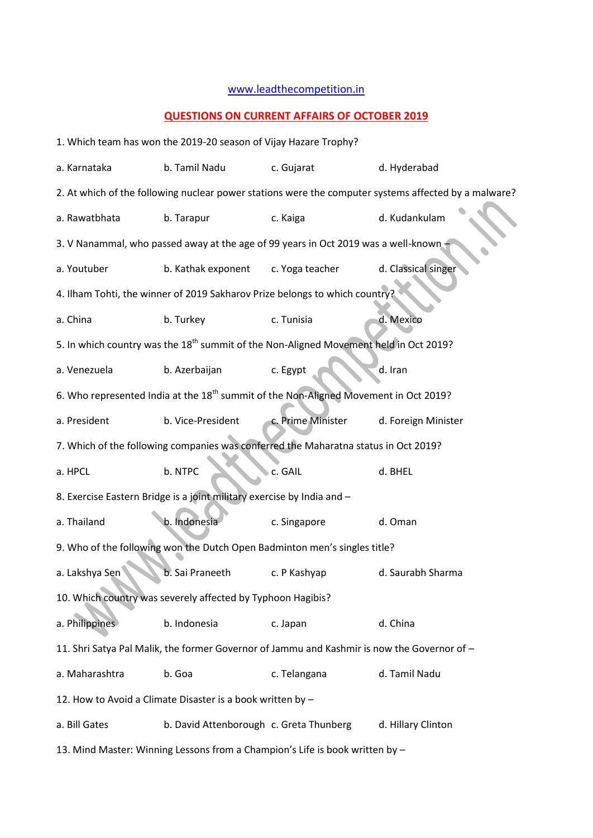## [www.leadthecompetition.in](http://www.leadthecompetition.in/)

## **QUESTIONS ON CURRENT AFFAIRS OF OCTOBER 2019**

|                                                                                                      | 1. Which team has won the 2019-20 season of Vijay Hazare Trophy?                                 |                   |                     |  |  |  |  |  |
|------------------------------------------------------------------------------------------------------|--------------------------------------------------------------------------------------------------|-------------------|---------------------|--|--|--|--|--|
| a. Karnataka                                                                                         | b. Tamil Nadu                                                                                    | c. Gujarat        | d. Hyderabad        |  |  |  |  |  |
| 2. At which of the following nuclear power stations were the computer systems affected by a malware? |                                                                                                  |                   |                     |  |  |  |  |  |
| a. Rawatbhata                                                                                        | b. Tarapur                                                                                       | c. Kaiga          | d. Kudankulam       |  |  |  |  |  |
|                                                                                                      | 3. V Nanammal, who passed away at the age of 99 years in Oct 2019 was a well-known               |                   |                     |  |  |  |  |  |
| a. Youtuber                                                                                          | b. Kathak exponent                                                                               | c. Yoga teacher   | d. Classical singer |  |  |  |  |  |
| 4. Ilham Tohti, the winner of 2019 Sakharov Prize belongs to which country?                          |                                                                                                  |                   |                     |  |  |  |  |  |
| a. China                                                                                             | b. Turkey                                                                                        | c. Tunisia        | d. Mexico           |  |  |  |  |  |
| 5. In which country was the 18 <sup>th</sup> summit of the Non-Aligned Movement held in Oct 2019?    |                                                                                                  |                   |                     |  |  |  |  |  |
| a. Venezuela                                                                                         | b. Azerbaijan                                                                                    | c. Egypt          | d. Iran             |  |  |  |  |  |
|                                                                                                      | 6. Who represented India at the 18 <sup>th</sup> summit of the Non-Aligned Movement in Oct 2019? |                   |                     |  |  |  |  |  |
| a. President                                                                                         | b. Vice-President                                                                                | c. Prime Minister | d. Foreign Minister |  |  |  |  |  |
|                                                                                                      | 7. Which of the following companies was conferred the Maharatna status in Oct 2019?              |                   |                     |  |  |  |  |  |
| a. HPCL                                                                                              | b. NTPC                                                                                          | c. GAIL           | d. BHEL             |  |  |  |  |  |
| 8. Exercise Eastern Bridge is a joint military exercise by India and -                               |                                                                                                  |                   |                     |  |  |  |  |  |
| a. Thailand                                                                                          | b. Indonesia                                                                                     | c. Singapore      | d. Oman             |  |  |  |  |  |
|                                                                                                      | 9. Who of the following won the Dutch Open Badminton men's singles title?                        |                   |                     |  |  |  |  |  |
| a. Lakshya Sen                                                                                       | b. Sai Praneeth                                                                                  | c. P Kashyap      | d. Saurabh Sharma   |  |  |  |  |  |
|                                                                                                      | 10. Which country was severely affected by Typhoon Hagibis?                                      |                   |                     |  |  |  |  |  |
| a. Philippines                                                                                       | b. Indonesia                                                                                     | c. Japan          | d. China            |  |  |  |  |  |
|                                                                                                      | 11. Shri Satya Pal Malik, the former Governor of Jammu and Kashmir is now the Governor of -      |                   |                     |  |  |  |  |  |
| a. Maharashtra                                                                                       | b. Goa                                                                                           | c. Telangana      | d. Tamil Nadu       |  |  |  |  |  |
| 12. How to Avoid a Climate Disaster is a book written by -                                           |                                                                                                  |                   |                     |  |  |  |  |  |
| a. Bill Gates                                                                                        | b. David Attenborough c. Greta Thunberg                                                          |                   | d. Hillary Clinton  |  |  |  |  |  |
| 13. Mind Master: Winning Lessons from a Champion's Life is book written by -                         |                                                                                                  |                   |                     |  |  |  |  |  |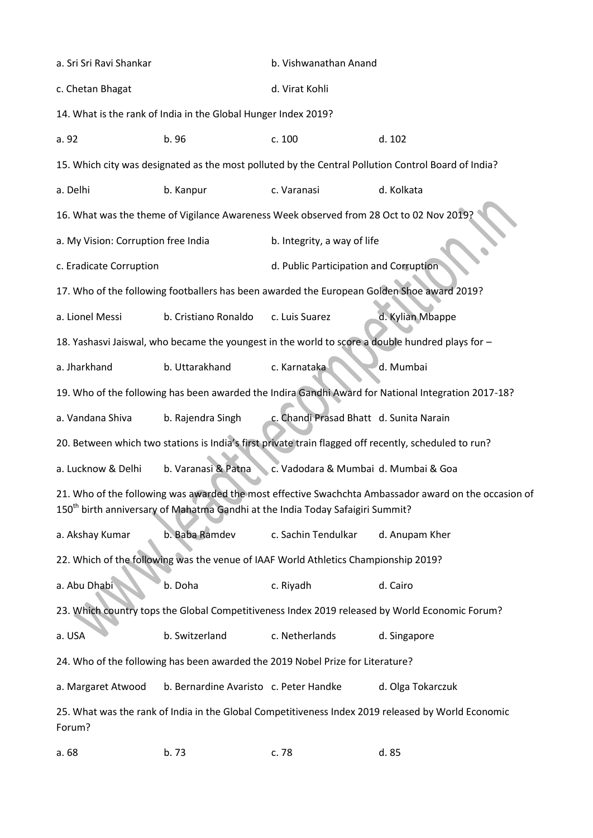| a. Sri Sri Ravi Shankar                                                                                                                                                                             |                                                                                                  | b. Vishwanathan Anand                                                                   |                                                                                                       |  |  |  |  |
|-----------------------------------------------------------------------------------------------------------------------------------------------------------------------------------------------------|--------------------------------------------------------------------------------------------------|-----------------------------------------------------------------------------------------|-------------------------------------------------------------------------------------------------------|--|--|--|--|
| c. Chetan Bhagat                                                                                                                                                                                    |                                                                                                  | d. Virat Kohli                                                                          |                                                                                                       |  |  |  |  |
|                                                                                                                                                                                                     | 14. What is the rank of India in the Global Hunger Index 2019?                                   |                                                                                         |                                                                                                       |  |  |  |  |
| a. 92                                                                                                                                                                                               | b. 96                                                                                            | c. 100                                                                                  | d. 102                                                                                                |  |  |  |  |
|                                                                                                                                                                                                     |                                                                                                  |                                                                                         | 15. Which city was designated as the most polluted by the Central Pollution Control Board of India?   |  |  |  |  |
| a. Delhi                                                                                                                                                                                            | b. Kanpur                                                                                        | c. Varanasi                                                                             | d. Kolkata                                                                                            |  |  |  |  |
|                                                                                                                                                                                                     |                                                                                                  | 16. What was the theme of Vigilance Awareness Week observed from 28 Oct to 02 Nov 2019? |                                                                                                       |  |  |  |  |
| a. My Vision: Corruption free India                                                                                                                                                                 |                                                                                                  | b. Integrity, a way of life                                                             |                                                                                                       |  |  |  |  |
| c. Eradicate Corruption                                                                                                                                                                             |                                                                                                  | d. Public Participation and Corruption                                                  |                                                                                                       |  |  |  |  |
| 17. Who of the following footballers has been awarded the European Golden Shoe award 2019?                                                                                                          |                                                                                                  |                                                                                         |                                                                                                       |  |  |  |  |
| a. Lionel Messi                                                                                                                                                                                     | b. Cristiano Ronaldo                                                                             | c. Luis Suarez                                                                          | d. Kylian Mbappe                                                                                      |  |  |  |  |
|                                                                                                                                                                                                     | 18. Yashasvi Jaiswal, who became the youngest in the world to score a double hundred plays for - |                                                                                         |                                                                                                       |  |  |  |  |
| a. Jharkhand                                                                                                                                                                                        | b. Uttarakhand                                                                                   | c. Karnataka                                                                            | d. Mumbai                                                                                             |  |  |  |  |
|                                                                                                                                                                                                     |                                                                                                  |                                                                                         | 19. Who of the following has been awarded the Indira Gandhi Award for National Integration 2017-18?   |  |  |  |  |
| a. Vandana Shiva                                                                                                                                                                                    | b. Rajendra Singh                                                                                | c. Chandi Prasad Bhatt d. Sunita Narain                                                 |                                                                                                       |  |  |  |  |
|                                                                                                                                                                                                     |                                                                                                  |                                                                                         | 20. Between which two stations is India's first private train flagged off recently, scheduled to run? |  |  |  |  |
| a. Lucknow & Delhi                                                                                                                                                                                  | b. Varanasi & Patna                                                                              | c. Vadodara & Mumbai d. Mumbai & Goa                                                    |                                                                                                       |  |  |  |  |
| 21. Who of the following was awarded the most effective Swachchta Ambassador award on the occasion of<br>150 <sup>th</sup> birth anniversary of Mahatma Gandhi at the India Today Safaigiri Summit? |                                                                                                  |                                                                                         |                                                                                                       |  |  |  |  |
| a. Akshay Kumar                                                                                                                                                                                     | b. Baba Ramdev                                                                                   | c. Sachin Tendulkar                                                                     | d. Anupam Kher                                                                                        |  |  |  |  |
| 22. Which of the following was the venue of IAAF World Athletics Championship 2019?                                                                                                                 |                                                                                                  |                                                                                         |                                                                                                       |  |  |  |  |
| a. Abu Dhabi                                                                                                                                                                                        | b. Doha                                                                                          | c. Riyadh                                                                               | d. Cairo                                                                                              |  |  |  |  |
|                                                                                                                                                                                                     |                                                                                                  |                                                                                         | 23. Which country tops the Global Competitiveness Index 2019 released by World Economic Forum?        |  |  |  |  |
| a. USA                                                                                                                                                                                              | b. Switzerland                                                                                   | c. Netherlands                                                                          | d. Singapore                                                                                          |  |  |  |  |
|                                                                                                                                                                                                     |                                                                                                  | 24. Who of the following has been awarded the 2019 Nobel Prize for Literature?          |                                                                                                       |  |  |  |  |
| a. Margaret Atwood                                                                                                                                                                                  | b. Bernardine Avaristo c. Peter Handke                                                           |                                                                                         | d. Olga Tokarczuk                                                                                     |  |  |  |  |
| 25. What was the rank of India in the Global Competitiveness Index 2019 released by World Economic<br>Forum?                                                                                        |                                                                                                  |                                                                                         |                                                                                                       |  |  |  |  |
| a. 68                                                                                                                                                                                               | b. 73                                                                                            | c. 78                                                                                   | d. 85                                                                                                 |  |  |  |  |